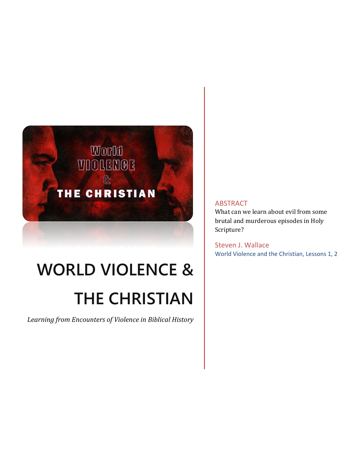

# **WORLD VIOLENCE & THE CHRISTIAN**

*Learning from Encounters of Violence in Biblical History*

#### ABSTRACT

What can we learn about evil from some brutal and murderous episodes in Holy Scripture?

Steven J. Wallace World Violence and the Christian, Lessons 1, 2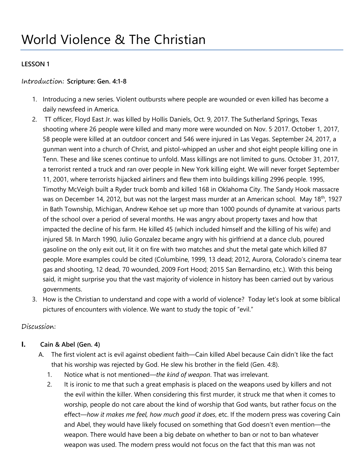# **LESSON 1**

#### Introduction: **Scripture: Gen. 4:1-8**

- 1. Introducing a new series. Violent outbursts where people are wounded or even killed has become a daily newsfeed in America.
- 2. TT officer, Floyd East Jr. was killed by Hollis Daniels, Oct. 9, 2017. The Sutherland Springs, Texas shooting where 26 people were killed and many more were wounded on Nov. 5, 2017. October 1, 2017, 58 people were killed at an outdoor concert and 546 were injured in Las Vegas. September 24, 2017, a gunman went into a church of Christ, and pistol-whipped an usher and shot eight people killing one in Tenn. These and like scenes continue to unfold. Mass killings are not limited to guns. October 31, 2017, a terrorist rented a truck and ran over people in New York killing eight. We will never forget September 11, 2001, where terrorists hijacked airliners and flew them into buildings killing 2996 people. 1995, Timothy McVeigh built a Ryder truck bomb and killed 168 in Oklahoma City. The Sandy Hook massacre was on December 14, 2012, but was not the largest mass murder at an American school. May 18<sup>th</sup>, 1927 in Bath Township, Michigan, Andrew Kehoe set up more than 1000 pounds of dynamite at various parts of the school over a period of several months. He was angry about property taxes and how that impacted the decline of his farm. He killed 45 (which included himself and the killing of his wife) and injured 58. In March 1990, Julio Gonzalez became angry with his girlfriend at a dance club, poured gasoline on the only exit out, lit it on fire with two matches and shut the metal gate which killed 87 people. More examples could be cited (Columbine, 1999, 13 dead; 2012, Aurora, Colorado's cinema tear gas and shooting, 12 dead, 70 wounded, 2009 Fort Hood; 2015 San Bernardino, etc.). With this being said, it might surprise you that the vast majority of violence in history has been carried out by various governments.
- 3. How is the Christian to understand and cope with a world of violence? Today let's look at some biblical pictures of encounters with violence. We want to study the topic of "evil."

#### Discussion:

# **I. Cain & Abel (Gen. 4)**

- A. The first violent act is evil against obedient faith—Cain killed Abel because Cain didn't like the fact that his worship was rejected by God. He slew his brother in the field (Gen. 4:8).
	- 1. Notice what is not mentioned—*the kind of weapon*. That was irrelevant.
	- 2. It is ironic to me that such a great emphasis is placed on the weapons used by killers and not the evil within the killer. When considering this first murder, it struck me that when it comes to worship, people do not care about the kind of worship that God wants, but rather focus on the effect—*how it makes me feel, how much good it does*, etc. If the modern press was covering Cain and Abel, they would have likely focused on something that God doesn't even mention—the weapon. There would have been a big debate on whether to ban or not to ban whatever weapon was used. The modern press would not focus on the fact that this man was not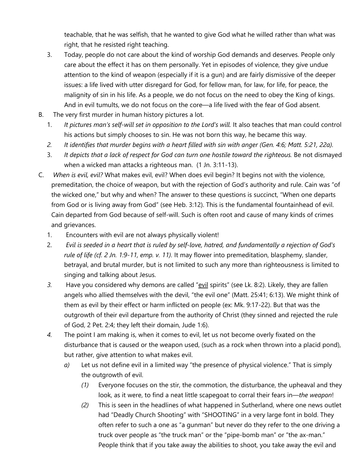teachable, that he was selfish, that he wanted to give God what he willed rather than what was right, that he resisted right teaching.

- 3. Today, people do not care about the kind of worship God demands and deserves. People only care about the effect it has on them personally. Yet in episodes of violence, they give undue attention to the kind of weapon (especially if it is a gun) and are fairly dismissive of the deeper issues: a life lived with utter disregard for God, for fellow man, for law, for life, for peace, the malignity of sin in his life. As a people, we do not focus on the need to obey the King of kings. And in evil tumults, we do not focus on the core—a life lived with the fear of God absent.
- B. The very first murder in human history pictures a lot.
	- 1. *It pictures man's self-will set in opposition to the Lord's will.* It also teaches that man could control his actions but simply chooses to sin. He was not born this way, he became this way.
	- *2. It identifies that murder begins with a heart filled with sin with anger (Gen. 4:6; Matt. 5:21, 22a).*
	- 3. *It depicts that a lack of respect for God can turn one hostile toward the righteous.* Be not dismayed when a wicked man attacks a righteous man. (1 Jn. 3:11-13).
- C. *When is evil, evil?* What makes evil, evil? When does evil begin? It begins not with the violence, premeditation, the choice of weapon, but with the rejection of God's authority and rule. Cain was "of the wicked one," but why and when? The answer to these questions is succinct, "When one departs from God or is living away from God" (see Heb. 3:12). This is the fundamental fountainhead of evil. Cain departed from God because of self-will. Such is often root and cause of many kinds of crimes and grievances.
	- 1. Encounters with evil are not always physically violent!
	- 2. *Evil is seeded in a heart that is ruled by self-love, hatred, and fundamentally a rejection of God's rule of life (cf. 2 Jn. 1:9-11, emp. v. 11).* It may flower into premeditation, blasphemy, slander, betrayal, and brutal murder, but is not limited to such any more than righteousness is limited to singing and talking about Jesus.
	- *3.* Have you considered why demons are called "evil spirits" (see Lk. 8:2). Likely, they are fallen angels who allied themselves with the devil, "the evil one" (Matt. 25:41; 6:13). We might think of them as evil by their effect or harm inflicted on people (ex: Mk. 9:17-22). But that was the outgrowth of their evil departure from the authority of Christ (they sinned and rejected the rule of God, 2 Pet. 2:4; they left their domain, Jude 1:6).
	- *4.* The point I am making is, when it comes to evil, let us not become overly fixated on the disturbance that is caused or the weapon used, (such as a rock when thrown into a placid pond), but rather, give attention to what makes evil.
		- *a)* Let us not define evil in a limited way "the presence of physical violence." That is simply the outgrowth of evil.
			- *(1)* Everyone focuses on the stir, the commotion, the disturbance, the upheaval and they look, as it were, to find a neat little scapegoat to corral their fears in—*the weapon*!
			- *(2)* This is seen in the headlines of what happened in Sutherland, where one news outlet had "Deadly Church Shooting" with "SHOOTING" in a very large font in bold. They often refer to such a one as "a gunman" but never do they refer to the one driving a truck over people as "the truck man" or the "pipe-bomb man" or "the ax-man." People think that if you take away the abilities to shoot, you take away the evil and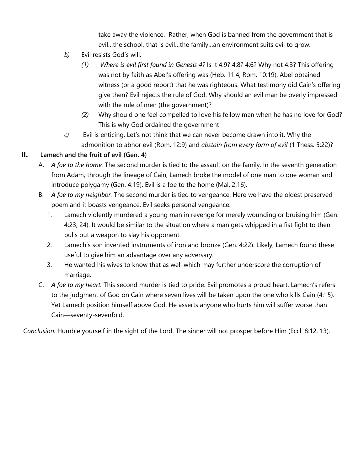take away the violence. Rather, when God is banned from the government that is evil…the school, that is evil…the family…an environment suits evil to grow.

- *b)* Evil resists God's will.
	- *(1) Where is evil first found in Genesis 4?* Is it 4:9? 4:8? 4:6? Why not 4:3? This offering was not by faith as Abel's offering was (Heb. 11:4; Rom. 10:19). Abel obtained witness (or a good report) that he was righteous. What testimony did Cain's offering give then? Evil rejects the rule of God. Why should an evil man be overly impressed with the rule of men (the government)?
	- *(2)* Why should one feel compelled to love his fellow man when he has no love for God? This is why God ordained the government
- *c)* Evil is enticing. Let's not think that we can never become drawn into it. Why the admonition to abhor evil (Rom. 12:9) and *abstain from every form of evil* (1 Thess. 5:22)?

# **II. Lamech and the fruit of evil (Gen. 4)**

- A. *A foe to the home.* The second murder is tied to the assault on the family. In the seventh generation from Adam, through the lineage of Cain, Lamech broke the model of one man to one woman and introduce polygamy (Gen. 4:19). Evil is a foe to the home (Mal. 2:16).
- B. *A foe to my neighbor.* The second murder is tied to vengeance. Here we have the oldest preserved poem and it boasts vengeance. Evil seeks personal vengeance.
	- 1. Lamech violently murdered a young man in revenge for merely wounding or bruising him (Gen. 4:23, 24). It would be similar to the situation where a man gets whipped in a fist fight to then pulls out a weapon to slay his opponent.
	- 2. Lamech's son invented instruments of iron and bronze (Gen. 4:22). Likely, Lamech found these useful to give him an advantage over any adversary.
	- 3. He wanted his wives to know that as well which may further underscore the corruption of marriage.
- C. *A foe to my heart.* This second murder is tied to pride. Evil promotes a proud heart. Lamech's refers to the judgment of God on Cain where seven lives will be taken upon the one who kills Cain (4:15). Yet Lamech position himself above God. He asserts anyone who hurts him will suffer worse than Cain—seventy-sevenfold.

*Conclusion:* Humble yourself in the sight of the Lord. The sinner will not prosper before Him (Eccl. 8:12, 13).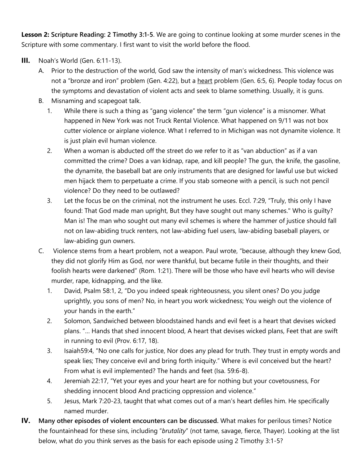**Lesson 2: Scripture Reading: 2 Timothy 3:1-5**. We are going to continue looking at some murder scenes in the Scripture with some commentary. I first want to visit the world before the flood.

- **III.** Noah's World (Gen. 6:11-13).
	- A. Prior to the destruction of the world, God saw the intensity of man's wickedness. This violence was not a "bronze and iron" problem (Gen. 4:22), but a heart problem (Gen. 6:5, 6). People today focus on the symptoms and devastation of violent acts and seek to blame something. Usually, it is guns.
	- B. Misnaming and scapegoat talk.
		- 1. While there is such a thing as "gang violence" the term "gun violence" is a misnomer. What happened in New York was not Truck Rental Violence. What happened on 9/11 was not box cutter violence or airplane violence. What I referred to in Michigan was not dynamite violence. It is just plain evil human violence.
		- 2. When a woman is abducted off the street do we refer to it as "van abduction" as if a van committed the crime? Does a van kidnap, rape, and kill people? The gun, the knife, the gasoline, the dynamite, the baseball bat are only instruments that are designed for lawful use but wicked men hijack them to perpetuate a crime. If you stab someone with a pencil, is such not pencil violence? Do they need to be outlawed?
		- 3. Let the focus be on the criminal, not the instrument he uses. Eccl. 7:29, "Truly, this only I have found: That God made man upright, But they have sought out many schemes." Who is guilty? Man is! The man who sought out many evil schemes is where the hammer of justice should fall not on law-abiding truck renters, not law-abiding fuel users, law-abiding baseball players, or law-abiding gun owners.
	- C. Violence stems from a heart problem, not a weapon. Paul wrote, "because, although they knew God, they did not glorify Him as God, nor were thankful, but became futile in their thoughts, and their foolish hearts were darkened" (Rom. 1:21). There will be those who have evil hearts who will devise murder, rape, kidnapping, and the like.
		- 1. David, Psalm 58:1, 2, "Do you indeed speak righteousness, you silent ones? Do you judge uprightly, you sons of men? No, in heart you work wickedness; You weigh out the violence of your hands in the earth."
		- 2. Solomon, Sandwiched between bloodstained hands and evil feet is a heart that devises wicked plans. "… Hands that shed innocent blood, A heart that devises wicked plans, Feet that are swift in running to evil (Prov. 6:17, 18).
		- 3. Isaiah59:4, "No one calls for justice, Nor does any plead for truth. They trust in empty words and speak lies; They conceive evil and bring forth iniquity." Where is evil conceived but the heart? From what is evil implemented? The hands and feet (Isa. 59:6-8).
		- 4. Jeremiah 22:17, "Yet your eyes and your heart are for nothing but your covetousness, For shedding innocent blood And practicing oppression and violence."
		- 5. Jesus, Mark 7:20-23, taught that what comes out of a man's heart defiles him. He specifically named murder.
- **IV. Many other episodes of violent encounters can be discussed.** What makes for perilous times? Notice the fountainhead for these sins, including "*brutality*" (not tame, savage, fierce, Thayer). Looking at the list below, what do you think serves as the basis for each episode using 2 Timothy 3:1-5?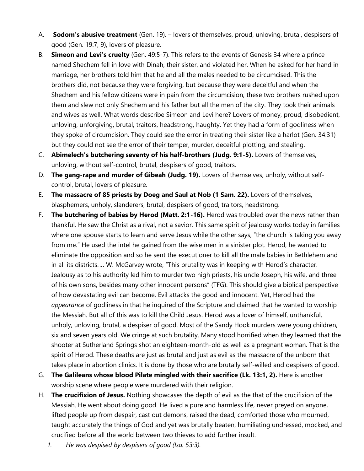- A. **Sodom's abusive treatment** (Gen. 19). lovers of themselves, proud, unloving, brutal, despisers of good (Gen. 19:7, 9), lovers of pleasure.
- B. **Simeon and Levi's cruelty** (Gen. 49:5-7). This refers to the events of Genesis 34 where a prince named Shechem fell in love with Dinah, their sister, and violated her. When he asked for her hand in marriage, her brothers told him that he and all the males needed to be circumcised. This the brothers did, not because they were forgiving, but because they were deceitful and when the Shechem and his fellow citizens were in pain from the circumcision, these two brothers rushed upon them and slew not only Shechem and his father but all the men of the city. They took their animals and wives as well. What words describe Simeon and Levi here? Lovers of money, proud, disobedient, unloving, unforgiving, brutal, traitors, headstrong, haughty. Yet they had a form of godliness when they spoke of circumcision. They could see the error in treating their sister like a harlot (Gen. 34:31) but they could not see the error of their temper, murder, deceitful plotting, and stealing.
- C. **Abimelech's butchering seventy of his half-brothers (Judg. 9:1-5).** Lovers of themselves, unloving, without self-control, brutal, despisers of good, traitors.
- D. **The gang-rape and murder of Gibeah (Judg. 19).** Lovers of themselves, unholy, without selfcontrol, brutal, lovers of pleasure.
- E. **The massacre of 85 priests by Doeg and Saul at Nob (1 Sam. 22).** Lovers of themselves, blasphemers, unholy, slanderers, brutal, despisers of good, traitors, headstrong.
- F. **The butchering of babies by Herod (Matt. 2:1-16).** Herod was troubled over the news rather than thankful. He saw the Christ as a rival, not a savior. This same spirit of jealousy works today in families where one spouse starts to learn and serve Jesus while the other says, "the church is taking you away from me." He used the intel he gained from the wise men in a sinister plot. Herod, he wanted to eliminate the opposition and so he sent the executioner to kill all the male babies in Bethlehem and in all its districts. J. W. McGarvey wrote, "This brutality was in keeping with Herod's character. Jealousy as to his authority led him to murder two high priests, his uncle Joseph, his wife, and three of his own sons, besides many other innocent persons" (TFG). This should give a biblical perspective of how devastating evil can become. Evil attacks the good and innocent. Yet, Herod had the *appearance* of godliness in that he inquired of the Scripture and claimed that he wanted to worship the Messiah. But all of this was to kill the Child Jesus. Herod was a lover of himself, unthankful, unholy, unloving, brutal, a despiser of good. Most of the Sandy Hook murders were young children, six and seven years old. We cringe at such brutality. Many stood horrified when they learned that the shooter at Sutherland Springs shot an eighteen-month-old as well as a pregnant woman. That is the spirit of Herod. These deaths are just as brutal and just as evil as the massacre of the unborn that takes place in abortion clinics. It is done by those who are brutally self-willed and despisers of good.
- G. **The Galileans whose blood Pilate mingled with their sacrifice (Lk. 13:1, 2).** Here is another worship scene where people were murdered with their religion.
- H. **The crucifixion of Jesus.** Nothing showcases the depth of evil as the that of the crucifixion of the Messiah. He went about doing good. He lived a pure and harmless life, never preyed on anyone, lifted people up from despair, cast out demons, raised the dead, comforted those who mourned, taught accurately the things of God and yet was brutally beaten, humiliating undressed, mocked, and crucified before all the world between two thieves to add further insult.
	- *1. He was despised by despisers of good (Isa. 53:3).*